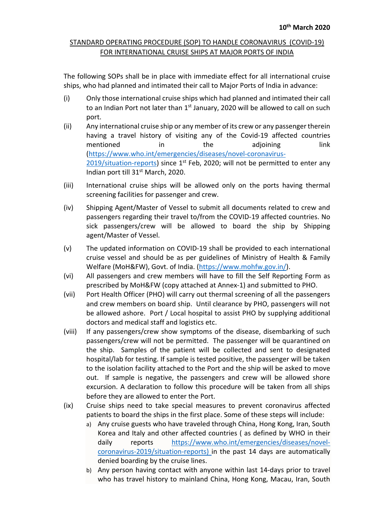## STANDARD OPERATING PROCEDURE (SOP) TO HANDLE CORONAVIRUS (COVID-19) FOR INTERNATIONAL CRUISE SHIPS AT MAJOR PORTS OF INDIA

The following SOPs shall be in place with immediate effect for all international cruise ships, who had planned and intimated their call to Major Ports of India in advance:

- (i) Only those international cruise ships which had planned and intimated their call to an Indian Port not later than  $1<sup>st</sup>$  January, 2020 will be allowed to call on such port.
- (ii) Any international cruise ship or any member of its crew or any passenger therein having a travel history of visiting any of the Covid-19 affected countries mentioned in the adjoining link [\(https://www.who.int/emergencies/diseases/novel-coronavirus-](https://www.who.int/emergencies/diseases/novel-coronavirus-2019/situation-reports) $2019/s$ ituation-reports) since 1<sup>st</sup> Feb, 2020; will not be permitted to enter any Indian port till 31st March, 2020.
- (iii) International cruise ships will be allowed only on the ports having thermal screening facilities for passenger and crew.
- (iv) Shipping Agent/Master of Vessel to submit all documents related to crew and passengers regarding their travel to/from the COVID-19 affected countries. No sick passengers/crew will be allowed to board the ship by Shipping agent/Master of Vessel.
- (v) The updated information on COVID-19 shall be provided to each international cruise vessel and should be as per guidelines of Ministry of Health & Family Welfare (MoH&FW), Govt. of India. [\(https://www.mohfw.gov.in/\)](https://www.mohfw.gov.in/).
- (vi) All passengers and crew members will have to fill the Self Reporting Form as prescribed by MoH&FW (copy attached at Annex-1) and submitted to PHO.
- (vii) Port Health Officer (PHO) will carry out thermal screening of all the passengers and crew members on board ship. Until clearance by PHO, passengers will not be allowed ashore. Port / Local hospital to assist PHO by supplying additional doctors and medical staff and logistics etc.
- (viii) If any passengers/crew show symptoms of the disease, disembarking of such passengers/crew will not be permitted. The passenger will be quarantined on the ship. Samples of the patient will be collected and sent to designated hospital/lab for testing. If sample is tested positive, the passenger will be taken to the isolation facility attached to the Port and the ship will be asked to move out. If sample is negative, the passengers and crew will be allowed shore excursion. A declaration to follow this procedure will be taken from all ships before they are allowed to enter the Port.
- (ix) Cruise ships need to take special measures to prevent coronavirus affected patients to board the ships in the first place. Some of these steps will include:
	- a) Any cruise guests who have traveled through China, Hong Kong, Iran, South Korea and Italy and other affected countries ( as defined by WHO in their daily reports [https://www.who.int/emergencies/diseases/novel](https://www.who.int/emergencies/diseases/novel-coronavirus-2019/situation-reports)[coronavirus-2019/situation-reports\)](https://www.who.int/emergencies/diseases/novel-coronavirus-2019/situation-reports) in the past 14 days are automatically denied boarding by the cruise lines.
	- b) Any person having contact with anyone within last 14-days prior to travel who has travel history to mainland China, Hong Kong, Macau, Iran, South